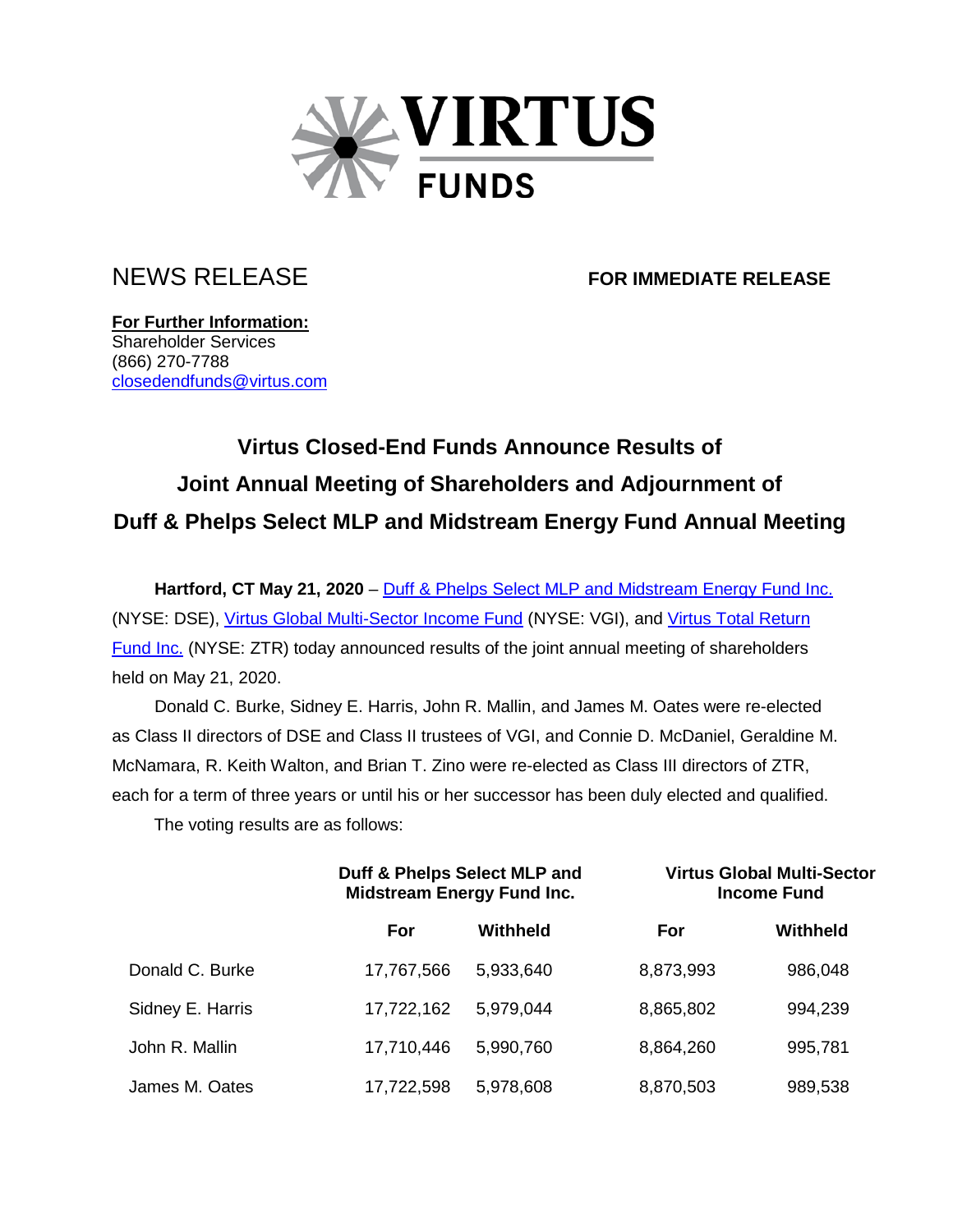

NEWS RELEASE **FOR IMMEDIATE RELEASE**

**For Further Information:** Shareholder Services (866) 270-7788 [closedendfunds@virtus.com](mailto:closedendfunds@virtus.com)

## **Virtus Closed-End Funds Announce Results of Joint Annual Meeting of Shareholders and Adjournment of Duff & Phelps Select MLP and Midstream Energy Fund Annual Meeting**

**Hartford, CT May 21, 2020** – [Duff & Phelps Select MLP and Midstream Energy](https://www.virtus.com/our-products/closed-end-fund-details/DSE) Fund Inc. (NYSE: DSE), [Virtus Global Multi-Sector Income Fund](https://www.virtus.com/products/virtus-global-multi-sector-income-fund#shareclass.N/period.quarterly) (NYSE: VGI), and [Virtus Total Return](https://www.virtus.com/products/virtus-total-return-fund#shareclass.N/period.quarterly)  [Fund Inc.](https://www.virtus.com/products/virtus-total-return-fund#shareclass.N/period.quarterly) (NYSE: ZTR) today announced results of the joint annual meeting of shareholders held on May 21, 2020.

Donald C. Burke, Sidney E. Harris, John R. Mallin, and James M. Oates were re-elected as Class II directors of DSE and Class II trustees of VGI, and Connie D. McDaniel, Geraldine M. McNamara, R. Keith Walton, and Brian T. Zino were re-elected as Class III directors of ZTR, each for a term of three years or until his or her successor has been duly elected and qualified.

The voting results are as follows:

|                  | Duff & Phelps Select MLP and<br><b>Midstream Energy Fund Inc.</b> |           | <b>Virtus Global Multi-Sector</b><br><b>Income Fund</b> |          |
|------------------|-------------------------------------------------------------------|-----------|---------------------------------------------------------|----------|
|                  | For                                                               | Withheld  | For                                                     | Withheld |
| Donald C. Burke  | 17,767,566                                                        | 5,933,640 | 8,873,993                                               | 986,048  |
| Sidney E. Harris | 17,722,162                                                        | 5,979,044 | 8,865,802                                               | 994,239  |
| John R. Mallin   | 17,710,446                                                        | 5,990,760 | 8,864,260                                               | 995,781  |
| James M. Oates   | 17,722,598                                                        | 5,978,608 | 8,870,503                                               | 989,538  |